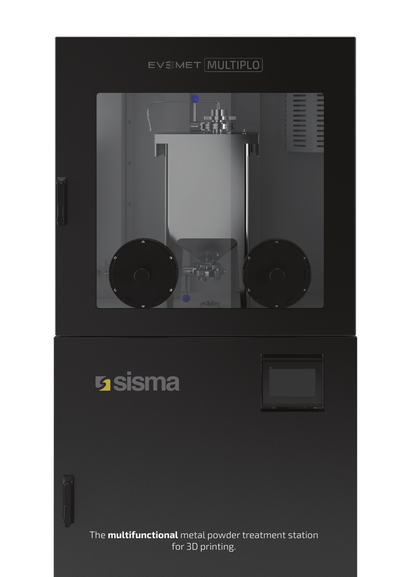





The **multifunctional** metal powder treatment station for 3D printing.